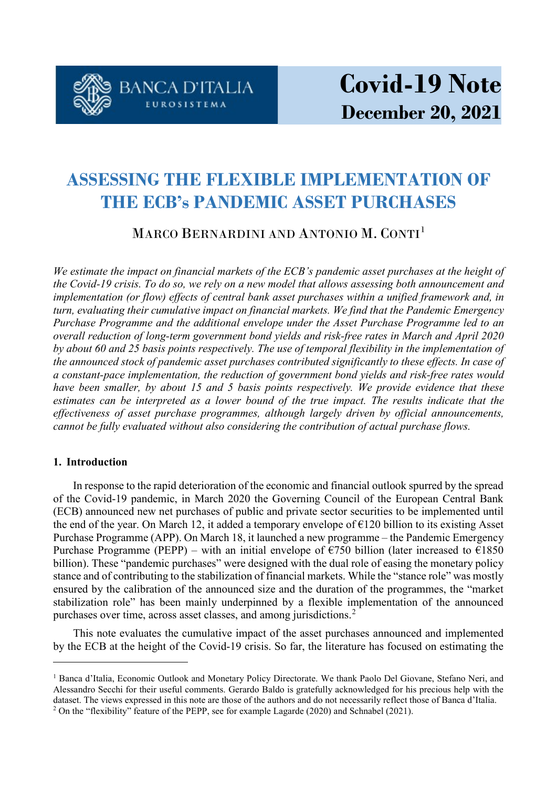

# **ASSESSING THE FLEXIBLE IMPLEMENTATION OF THE ECB's PANDEMIC ASSET PURCHASES**

## MARCO BERNARDINI AND ANTONIO M. CONTI<sup>[1](#page-0-0)</sup>

*We estimate the impact on financial markets of the ECB's pandemic asset purchases at the height of the Covid-19 crisis. To do so, we rely on a new model that allows assessing both announcement and implementation (or flow) effects of central bank asset purchases within a unified framework and, in turn, evaluating their cumulative impact on financial markets. We find that the Pandemic Emergency Purchase Programme and the additional envelope under the Asset Purchase Programme led to an overall reduction of long-term government bond yields and risk-free rates in March and April 2020 by about 60 and 25 basis points respectively. The use of temporal flexibility in the implementation of the announced stock of pandemic asset purchases contributed significantly to these effects. In case of a constant-pace implementation, the reduction of government bond yields and risk-free rates would have been smaller, by about 15 and 5 basis points respectively. We provide evidence that these estimates can be interpreted as a lower bound of the true impact. The results indicate that the effectiveness of asset purchase programmes, although largely driven by official announcements, cannot be fully evaluated without also considering the contribution of actual purchase flows.*

### **1. Introduction**

 $\overline{a}$ 

In response to the rapid deterioration of the economic and financial outlook spurred by the spread of the Covid-19 pandemic, in March 2020 the Governing Council of the European Central Bank (ECB) announced new net purchases of public and private sector securities to be implemented until the end of the year. On March 12, it added a temporary envelope of  $E$ 120 billion to its existing Asset Purchase Programme (APP). On March 18, it launched a new programme – the Pandemic Emergency Purchase Programme (PEPP) – with an initial envelope of  $\epsilon$ 750 billion (later increased to  $\epsilon$ 1850 billion). These "pandemic purchases" were designed with the dual role of easing the monetary policy stance and of contributing to the stabilization of financial markets. While the "stance role" was mostly ensured by the calibration of the announced size and the duration of the programmes, the "market stabilization role" has been mainly underpinned by a flexible implementation of the announced purchases over time, across asset classes, and among jurisdictions.<sup>[2](#page-0-1)</sup>

This note evaluates the cumulative impact of the asset purchases announced and implemented by the ECB at the height of the Covid-19 crisis. So far, the literature has focused on estimating the

<span id="page-0-0"></span><sup>&</sup>lt;sup>1</sup> Banca d'Italia, Economic Outlook and Monetary Policy Directorate. We thank Paolo Del Giovane, Stefano Neri, and Alessandro Secchi for their useful comments. Gerardo Baldo is gratefully acknowledged for his precious help with the dataset. The views expressed in this note are those of the authors and do not necessarily reflect those of Banca d'Italia.

<span id="page-0-1"></span><sup>2</sup> On the "flexibility" feature of the PEPP, see for example Lagarde (2020) and Schnabel (2021).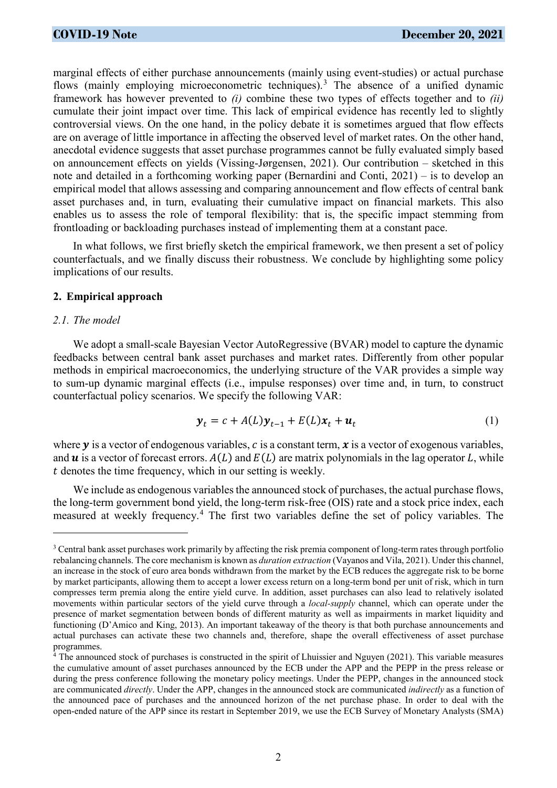marginal effects of either purchase announcements (mainly using event-studies) or actual purchase flows (mainly employing microeconometric techniques).<sup>[3](#page-1-0)</sup> The absence of a unified dynamic framework has however prevented to *(i)* combine these two types of effects together and to *(ii)* cumulate their joint impact over time. This lack of empirical evidence has recently led to slightly controversial views. On the one hand, in the policy debate it is sometimes argued that flow effects are on average of little importance in affecting the observed level of market rates. On the other hand, anecdotal evidence suggests that asset purchase programmes cannot be fully evaluated simply based on announcement effects on yields (Vissing-Jørgensen, 2021). Our contribution – sketched in this note and detailed in a forthcoming working paper (Bernardini and Conti, 2021) – is to develop an empirical model that allows assessing and comparing announcement and flow effects of central bank asset purchases and, in turn, evaluating their cumulative impact on financial markets. This also enables us to assess the role of temporal flexibility: that is, the specific impact stemming from frontloading or backloading purchases instead of implementing them at a constant pace.

In what follows, we first briefly sketch the empirical framework, we then present a set of policy counterfactuals, and we finally discuss their robustness. We conclude by highlighting some policy implications of our results.

#### **2. Empirical approach**

#### *2.1. The model*

 $\overline{a}$ 

We adopt a small-scale Bayesian Vector AutoRegressive (BVAR) model to capture the dynamic feedbacks between central bank asset purchases and market rates. Differently from other popular methods in empirical macroeconomics, the underlying structure of the VAR provides a simple way to sum-up dynamic marginal effects (i.e., impulse responses) over time and, in turn, to construct counterfactual policy scenarios. We specify the following VAR:

$$
\mathbf{y}_t = c + A(L)\mathbf{y}_{t-1} + E(L)\mathbf{x}_t + \mathbf{u}_t
$$
 (1)

where  $y$  is a vector of endogenous variables,  $c$  is a constant term,  $x$  is a vector of exogenous variables, and  $\bf{u}$  is a vector of forecast errors.  $A(L)$  and  $E(L)$  are matrix polynomials in the lag operator L, while denotes the time frequency, which in our setting is weekly.

We include as endogenous variables the announced stock of purchases, the actual purchase flows, the long-term government bond yield, the long-term risk-free (OIS) rate and a stock price index, each measured at weekly frequency.[4](#page-1-1) The first two variables define the set of policy variables. The

<span id="page-1-0"></span><sup>&</sup>lt;sup>3</sup> Central bank asset purchases work primarily by affecting the risk premia component of long-term rates through portfolio rebalancing channels. The core mechanism is known as *duration extraction* (Vayanos and Vila, 2021). Under this channel, an increase in the stock of euro area bonds withdrawn from the market by the ECB reduces the aggregate risk to be borne by market participants, allowing them to accept a lower excess return on a long-term bond per unit of risk, which in turn compresses term premia along the entire yield curve. In addition, asset purchases can also lead to relatively isolated movements within particular sectors of the yield curve through a *local-supply* channel, which can operate under the presence of market segmentation between bonds of different maturity as well as impairments in market liquidity and functioning (D'Amico and King, 2013). An important takeaway of the theory is that both purchase announcements and actual purchases can activate these two channels and, therefore, shape the overall effectiveness of asset purchase programmes.

<span id="page-1-1"></span><sup>&</sup>lt;sup>4</sup> The announced stock of purchases is constructed in the spirit of Lhuissier and Nguyen (2021). This variable measures the cumulative amount of asset purchases announced by the ECB under the APP and the PEPP in the press release or during the press conference following the monetary policy meetings. Under the PEPP, changes in the announced stock are communicated *directly*. Under the APP, changes in the announced stock are communicated *indirectly* as a function of the announced pace of purchases and the announced horizon of the net purchase phase. In order to deal with the open-ended nature of the APP since its restart in September 2019, we use the ECB Survey of Monetary Analysts (SMA)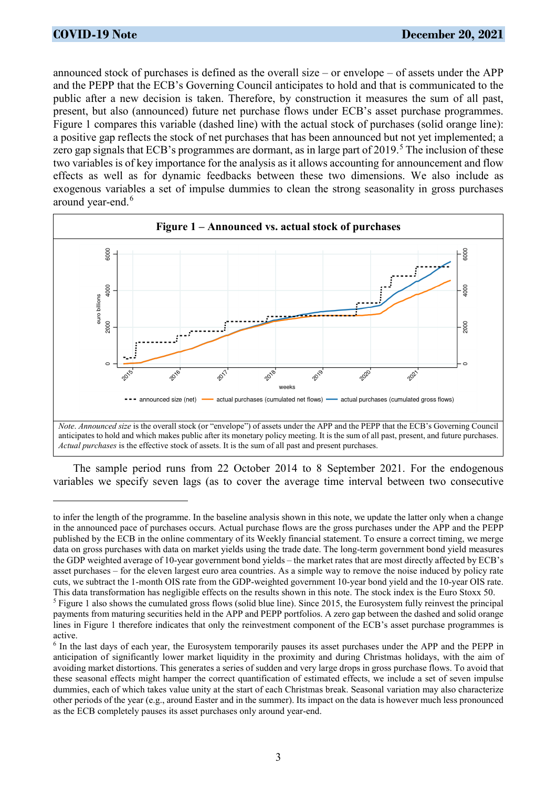announced stock of purchases is defined as the overall size – or envelope – of assets under the APP and the PEPP that the ECB's Governing Council anticipates to hold and that is communicated to the public after a new decision is taken. Therefore, by construction it measures the sum of all past, present, but also (announced) future net purchase flows under ECB's asset purchase programmes. Figure 1 compares this variable (dashed line) with the actual stock of purchases (solid orange line): a positive gap reflects the stock of net purchases that has been announced but not yet implemented; a zero gap signals that ECB's programmes are dormant, as in large part of 2019.<sup>[5](#page-2-0)</sup> The inclusion of these two variables is of key importance for the analysis as it allows accounting for announcement and flow effects as well as for dynamic feedbacks between these two dimensions. We also include as exogenous variables a set of impulse dummies to clean the strong seasonality in gross purchases around year-end.<sup>[6](#page-2-1)</sup>



The sample period runs from 22 October 2014 to 8 September 2021. For the endogenous variables we specify seven lags (as to cover the average time interval between two consecutive

to infer the length of the programme. In the baseline analysis shown in this note, we update the latter only when a change in the announced pace of purchases occurs. Actual purchase flows are the gross purchases under the APP and the PEPP published by the ECB in the online commentary of its Weekly financial statement. To ensure a correct timing, we merge data on gross purchases with data on market yields using the trade date. The long-term government bond yield measures the GDP weighted average of 10-year government bond yields – the market rates that are most directly affected by ECB's asset purchases – for the eleven largest euro area countries. As a simple way to remove the noise induced by policy rate cuts, we subtract the 1-month OIS rate from the GDP-weighted government 10-year bond yield and the 10-year OIS rate. This data transformation has negligible effects on the results shown in this note. The stock index is the Euro Stoxx 50.

<span id="page-2-0"></span><sup>&</sup>lt;sup>5</sup> Figure 1 also shows the cumulated gross flows (solid blue line). Since 2015, the Eurosystem fully reinvest the principal payments from maturing securities held in the APP and PEPP portfolios. A zero gap between the dashed and solid orange lines in Figure 1 therefore indicates that only the reinvestment component of the ECB's asset purchase programmes is active.

<span id="page-2-1"></span><sup>6</sup> In the last days of each year, the Eurosystem temporarily pauses its asset purchases under the APP and the PEPP in anticipation of significantly lower market liquidity in the proximity and during Christmas holidays, with the aim of avoiding market distortions. This generates a series of sudden and very large drops in gross purchase flows. To avoid that these seasonal effects might hamper the correct quantification of estimated effects, we include a set of seven impulse dummies, each of which takes value unity at the start of each Christmas break. Seasonal variation may also characterize other periods of the year (e.g., around Easter and in the summer). Its impact on the data is however much less pronounced as the ECB completely pauses its asset purchases only around year-end.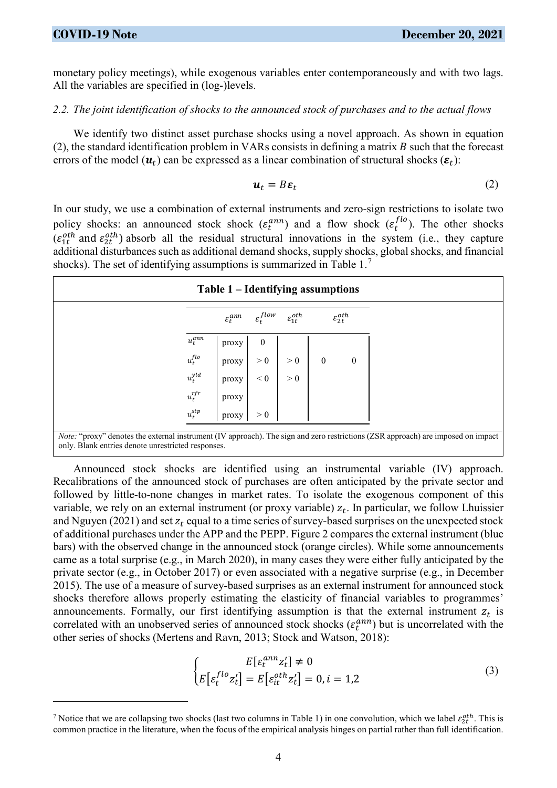monetary policy meetings), while exogenous variables enter contemporaneously and with two lags. All the variables are specified in (log-)levels.

#### *2.2. The joint identification of shocks to the announced stock of purchases and to the actual flows*

We identify two distinct asset purchase shocks using a novel approach. As shown in equation (2), the standard identification problem in VARs consists in defining a matrix  $B$  such that the forecast errors of the model  $(u_t)$  can be expressed as a linear combination of structural shocks  $(\varepsilon_t)$ :

$$
\boldsymbol{u}_t = B \boldsymbol{\varepsilon}_t \tag{2}
$$

In our study, we use a combination of external instruments and zero-sign restrictions to isolate two policy shocks: an announced stock shock  $(\varepsilon_t^{ann})$  and a flow shock  $(\varepsilon_t^{flo})$ . The other shocks  $(\varepsilon_{1t}^{oth}$  and  $\varepsilon_{2t}^{oth}$ ) absorb all the residual structural innovations in the system (i.e., they capture additional disturbances such as additional demand shocks, supply shocks, global shocks, and financial shocks). The set of identifying assumptions is summarized in Table 1.[7](#page-3-0)

|             | Table 1 – Identifying assumptions |                        |                          |                  |                          |  |
|-------------|-----------------------------------|------------------------|--------------------------|------------------|--------------------------|--|
|             | $\varepsilon_t^{am}$              | $\varepsilon_t^{flow}$ | $\varepsilon_{1t}^{oth}$ |                  | $\varepsilon^{oth}_{2t}$ |  |
| $u_t^{ann}$ | proxy                             | $\boldsymbol{0}$       |                          |                  |                          |  |
| $u_t^{flo}$ | proxy                             | > 0                    | > 0                      | $\boldsymbol{0}$ | $\boldsymbol{0}$         |  |
| $u_t^{yld}$ | proxy                             | < 0                    | > 0                      |                  |                          |  |
| $u_t^{rfr}$ | proxy                             |                        |                          |                  |                          |  |
| $u_t^{stp}$ | proxy                             | > 0                    |                          |                  |                          |  |

*Note:* "proxy" denotes the external instrument (IV approach). The sign and zero restrictions (ZSR approach) are imposed on impact only. Blank entries denote unrestricted responses.

Announced stock shocks are identified using an instrumental variable (IV) approach. Recalibrations of the announced stock of purchases are often anticipated by the private sector and followed by little-to-none changes in market rates. To isolate the exogenous component of this variable, we rely on an external instrument (or proxy variable)  $z_t$ . In particular, we follow Lhuissier and Nguyen (2021) and set  $z_t$  equal to a time series of survey-based surprises on the unexpected stock of additional purchases under the APP and the PEPP. Figure 2 compares the external instrument (blue bars) with the observed change in the announced stock (orange circles). While some announcements came as a total surprise (e.g., in March 2020), in many cases they were either fully anticipated by the private sector (e.g., in October 2017) or even associated with a negative surprise (e.g., in December 2015). The use of a measure of survey-based surprises as an external instrument for announced stock shocks therefore allows properly estimating the elasticity of financial variables to programmes' announcements. Formally, our first identifying assumption is that the external instrument  $z_t$  is correlated with an unobserved series of announced stock shocks  $(\varepsilon_t^{ann})$  but is uncorrelated with the other series of shocks (Mertens and Ravn, 2013; Stock and Watson, 2018):

$$
\begin{cases}\nE\left[\varepsilon_t^{ann} z_t'\right] \neq 0 \\
E\left[\varepsilon_t^{flo} z_t'\right] = E\left[\varepsilon_{it}^{oth} z_t'\right] = 0, i = 1,2\n\end{cases}
$$
\n(3)

<span id="page-3-0"></span><sup>&</sup>lt;sup>7</sup> Notice that we are collapsing two shocks (last two columns in Table 1) in one convolution, which we label  $\varepsilon_{2t}^{oth}$ . This is common practice in the literature, when the focus of the empirical analysis hinges on partial rather than full identification.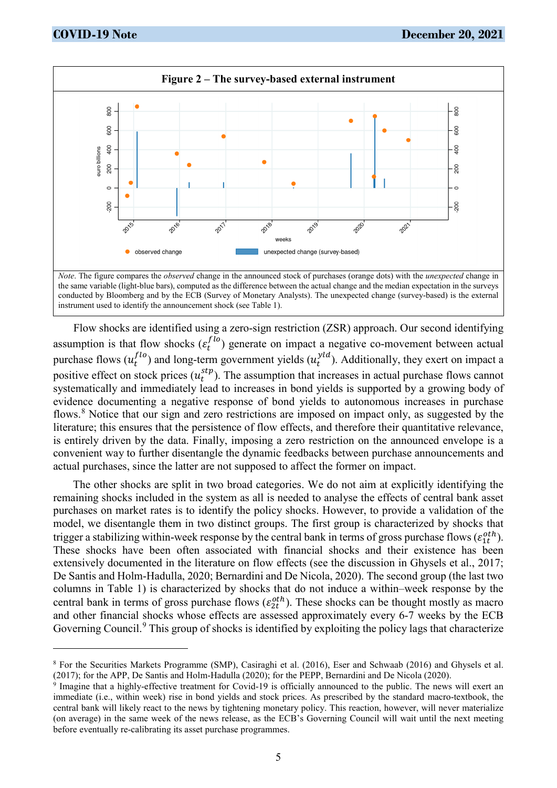

Flow shocks are identified using a zero-sign restriction (ZSR) approach. Our second identifying assumption is that flow shocks  $(\varepsilon_t^{flo})$  generate on impact a negative co-movement between actual purchase flows  $(u_t^{flo})$  and long-term government yields  $(u_t^{yld})$ . Additionally, they exert on impact a positive effect on stock prices  $(u_t^{stp})$ . The assumption that increases in actual purchase flows cannot systematically and immediately lead to increases in bond yields is supported by a growing body of evidence documenting a negative response of bond yields to autonomous increases in purchase flows.<sup>[8](#page-4-0)</sup> Notice that our sign and zero restrictions are imposed on impact only, as suggested by the literature; this ensures that the persistence of flow effects, and therefore their quantitative relevance, is entirely driven by the data. Finally, imposing a zero restriction on the announced envelope is a convenient way to further disentangle the dynamic feedbacks between purchase announcements and actual purchases, since the latter are not supposed to affect the former on impact.

The other shocks are split in two broad categories. We do not aim at explicitly identifying the remaining shocks included in the system as all is needed to analyse the effects of central bank asset purchases on market rates is to identify the policy shocks. However, to provide a validation of the model, we disentangle them in two distinct groups. The first group is characterized by shocks that trigger a stabilizing within-week response by the central bank in terms of gross purchase flows ( $\varepsilon_{1t}^{oth}$ ). These shocks have been often associated with financial shocks and their existence has been extensively documented in the literature on flow effects (see the discussion in Ghysels et al., 2017; De Santis and Holm-Hadulla, 2020; Bernardini and De Nicola, 2020). The second group (the last two columns in Table 1) is characterized by shocks that do not induce a within–week response by the central bank in terms of gross purchase flows  $(\varepsilon_{2t}^{oth})$ . These shocks can be thought mostly as macro and other financial shocks whose effects are assessed approximately every 6-7 weeks by the ECB Governing Council.<sup>[9](#page-4-1)</sup> This group of shocks is identified by exploiting the policy lags that characterize

<span id="page-4-0"></span><sup>8</sup> For the Securities Markets Programme (SMP), Casiraghi et al. (2016), Eser and Schwaab (2016) and Ghysels et al. (2017); for the APP, De Santis and Holm-Hadulla (2020); for the PEPP, Bernardini and De Nicola (2020).

<span id="page-4-1"></span><sup>9</sup> Imagine that a highly-effective treatment for Covid-19 is officially announced to the public. The news will exert an immediate (i.e., within week) rise in bond yields and stock prices. As prescribed by the standard macro-textbook, the central bank will likely react to the news by tightening monetary policy. This reaction, however, will never materialize (on average) in the same week of the news release, as the ECB's Governing Council will wait until the next meeting before eventually re-calibrating its asset purchase programmes.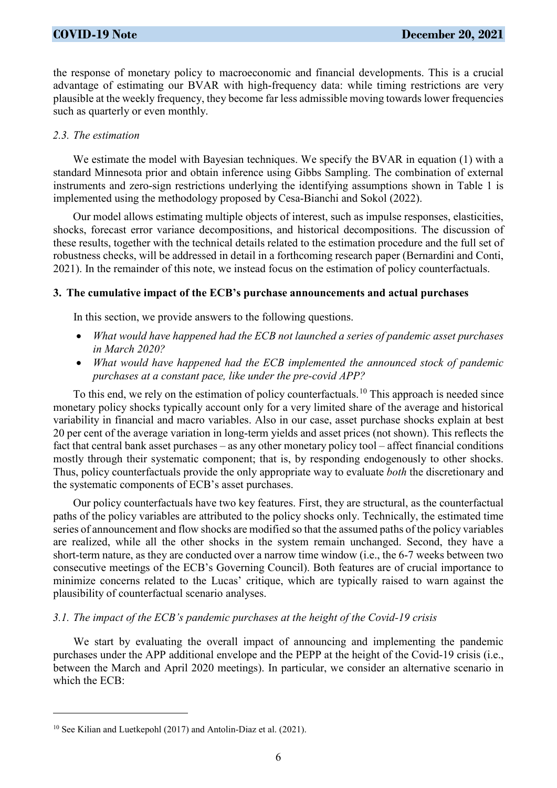the response of monetary policy to macroeconomic and financial developments. This is a crucial advantage of estimating our BVAR with high-frequency data: while timing restrictions are very plausible at the weekly frequency, they become far less admissible moving towards lower frequencies such as quarterly or even monthly.

#### *2.3. The estimation*

We estimate the model with Bayesian techniques. We specify the BVAR in equation (1) with a standard Minnesota prior and obtain inference using Gibbs Sampling. The combination of external instruments and zero-sign restrictions underlying the identifying assumptions shown in Table 1 is implemented using the methodology proposed by Cesa-Bianchi and Sokol (2022).

Our model allows estimating multiple objects of interest, such as impulse responses, elasticities, shocks, forecast error variance decompositions, and historical decompositions. The discussion of these results, together with the technical details related to the estimation procedure and the full set of robustness checks, will be addressed in detail in a forthcoming research paper (Bernardini and Conti, 2021). In the remainder of this note, we instead focus on the estimation of policy counterfactuals.

#### **3. The cumulative impact of the ECB's purchase announcements and actual purchases**

In this section, we provide answers to the following questions.

- *What would have happened had the ECB not launched a series of pandemic asset purchases in March 2020?*
- *What would have happened had the ECB implemented the announced stock of pandemic purchases at a constant pace, like under the pre-covid APP?*

To this end, we rely on the estimation of policy counterfactuals.<sup>[10](#page-5-0)</sup> This approach is needed since monetary policy shocks typically account only for a very limited share of the average and historical variability in financial and macro variables. Also in our case, asset purchase shocks explain at best 20 per cent of the average variation in long-term yields and asset prices (not shown). This reflects the fact that central bank asset purchases – as any other monetary policy tool – affect financial conditions mostly through their systematic component; that is, by responding endogenously to other shocks. Thus, policy counterfactuals provide the only appropriate way to evaluate *both* the discretionary and the systematic components of ECB's asset purchases.

Our policy counterfactuals have two key features. First, they are structural, as the counterfactual paths of the policy variables are attributed to the policy shocks only. Technically, the estimated time series of announcement and flow shocks are modified so that the assumed paths of the policy variables are realized, while all the other shocks in the system remain unchanged. Second, they have a short-term nature, as they are conducted over a narrow time window (i.e., the 6-7 weeks between two consecutive meetings of the ECB's Governing Council). Both features are of crucial importance to minimize concerns related to the Lucas' critique, which are typically raised to warn against the plausibility of counterfactual scenario analyses.

### *3.1. The impact of the ECB's pandemic purchases at the height of the Covid-19 crisis*

We start by evaluating the overall impact of announcing and implementing the pandemic purchases under the APP additional envelope and the PEPP at the height of the Covid-19 crisis (i.e., between the March and April 2020 meetings). In particular, we consider an alternative scenario in which the ECB:

 $\overline{a}$ 

<span id="page-5-0"></span><sup>10</sup> See Kilian and Luetkepohl (2017) and Antolin-Diaz et al. (2021).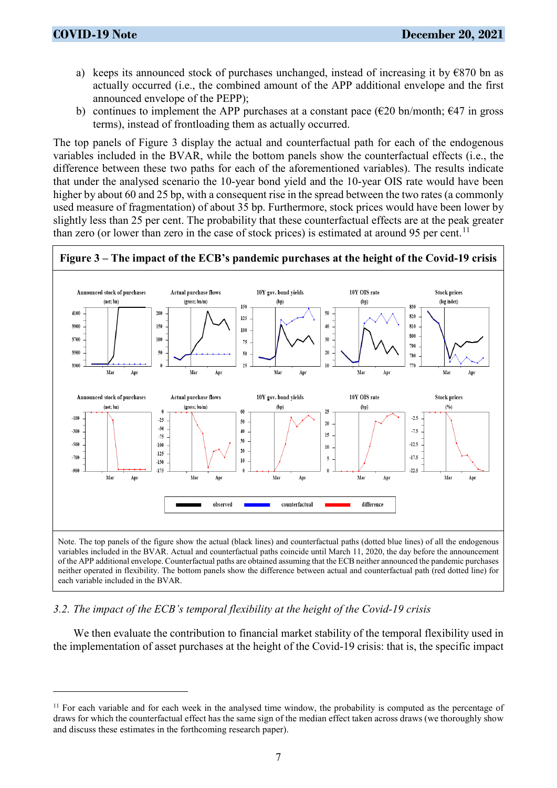- a) keeps its announced stock of purchases unchanged, instead of increasing it by  $\epsilon$ 870 bn as actually occurred (i.e., the combined amount of the APP additional envelope and the first announced envelope of the PEPP);
- b) continues to implement the APP purchases at a constant pace ( $\epsilon$ 20 bn/month;  $\epsilon$ 47 in gross terms), instead of frontloading them as actually occurred.

The top panels of Figure 3 display the actual and counterfactual path for each of the endogenous variables included in the BVAR, while the bottom panels show the counterfactual effects (i.e., the difference between these two paths for each of the aforementioned variables). The results indicate that under the analysed scenario the 10-year bond yield and the 10-year OIS rate would have been higher by about 60 and 25 bp, with a consequent rise in the spread between the two rates (a commonly used measure of fragmentation) of about 35 bp. Furthermore, stock prices would have been lower by slightly less than 25 per cent. The probability that these counterfactual effects are at the peak greater than zero (or lower than zero in the case of stock prices) is estimated at around 95 per cent.<sup>[11](#page-6-0)</sup>



#### *3.2. The impact of the ECB's temporal flexibility at the height of the Covid-19 crisis*

We then evaluate the contribution to financial market stability of the temporal flexibility used in the implementation of asset purchases at the height of the Covid-19 crisis: that is, the specific impact

<span id="page-6-0"></span> $11$  For each variable and for each week in the analysed time window, the probability is computed as the percentage of draws for which the counterfactual effect has the same sign of the median effect taken across draws (we thoroughly show and discuss these estimates in the forthcoming research paper).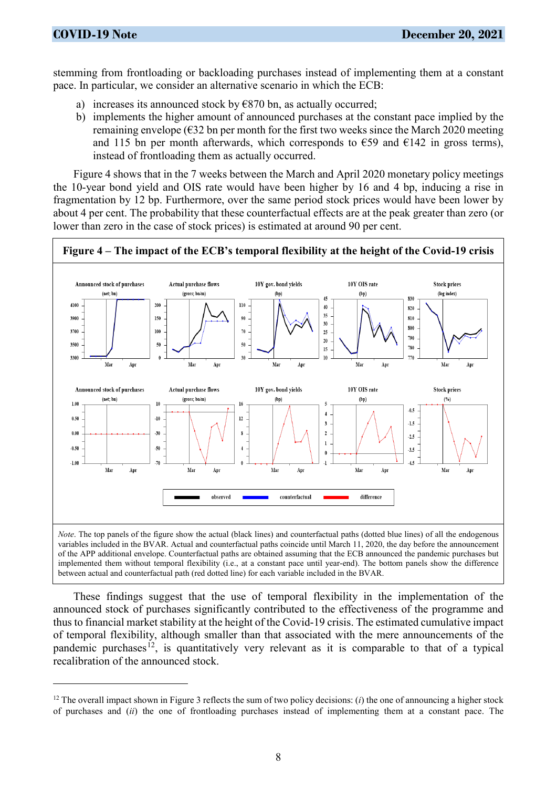stemming from frontloading or backloading purchases instead of implementing them at a constant pace. In particular, we consider an alternative scenario in which the ECB:

- a) increases its announced stock by  $\epsilon$ 870 bn, as actually occurred;
- b) implements the higher amount of announced purchases at the constant pace implied by the remaining envelope ( $\epsilon$ 32 bn per month for the first two weeks since the March 2020 meeting and 115 bn per month afterwards, which corresponds to  $\epsilon$ 59 and  $\epsilon$ 142 in gross terms), instead of frontloading them as actually occurred.

Figure 4 shows that in the 7 weeks between the March and April 2020 monetary policy meetings the 10-year bond yield and OIS rate would have been higher by 16 and 4 bp, inducing a rise in fragmentation by 12 bp. Furthermore, over the same period stock prices would have been lower by about 4 per cent. The probability that these counterfactual effects are at the peak greater than zero (or lower than zero in the case of stock prices) is estimated at around 90 per cent.



These findings suggest that the use of temporal flexibility in the implementation of the announced stock of purchases significantly contributed to the effectiveness of the programme and thus to financial market stability at the height of the Covid-19 crisis. The estimated cumulative impact of temporal flexibility, although smaller than that associated with the mere announcements of the pandemic purchases<sup>12</sup>, is quantitatively very relevant as it is comparable to that of a typical recalibration of the announced stock.

<span id="page-7-0"></span><sup>&</sup>lt;sup>12</sup> The overall impact shown in Figure 3 reflects the sum of two policy decisions: (*i*) the one of announcing a higher stock of purchases and (*ii*) the one of frontloading purchases instead of implementing them at a constant pace. The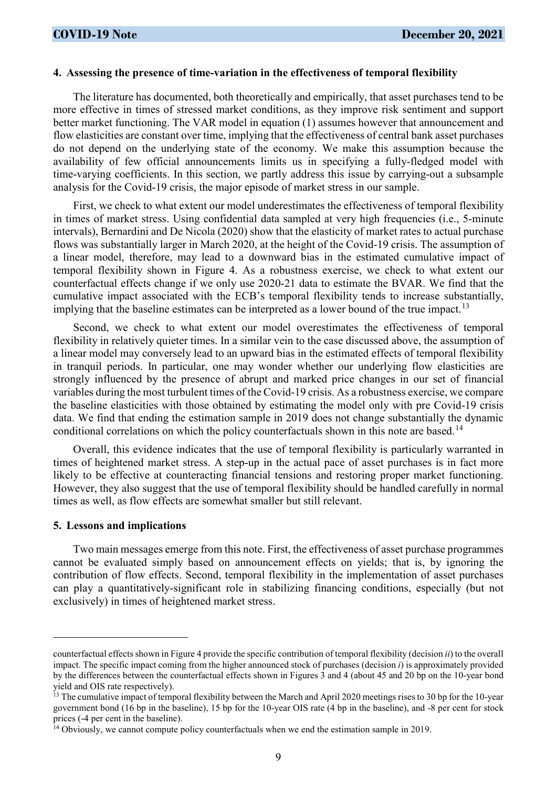#### **4. Assessing the presence of time-variation in the effectiveness of temporal flexibility**

The literature has documented, both theoretically and empirically, that asset purchases tend to be more effective in times of stressed market conditions, as they improve risk sentiment and support better market functioning. The VAR model in equation (1) assumes however that announcement and flow elasticities are constant over time, implying that the effectiveness of central bank asset purchases do not depend on the underlying state of the economy. We make this assumption because the availability of few official announcements limits us in specifying a fully-fledged model with time-varying coefficients. In this section, we partly address this issue by carrying-out a subsample analysis for the Covid-19 crisis, the major episode of market stress in our sample.

First, we check to what extent our model underestimates the effectiveness of temporal flexibility in times of market stress. Using confidential data sampled at very high frequencies (i.e., 5-minute intervals), Bernardini and De Nicola (2020) show that the elasticity of market rates to actual purchase flows was substantially larger in March 2020, at the height of the Covid-19 crisis. The assumption of a linear model, therefore, may lead to a downward bias in the estimated cumulative impact of temporal flexibility shown in Figure 4. As a robustness exercise, we check to what extent our counterfactual effects change if we only use 2020-21 data to estimate the BVAR. We find that the cumulative impact associated with the ECB's temporal flexibility tends to increase substantially, implying that the baseline estimates can be interpreted as a lower bound of the true impact.<sup>[13](#page-8-0)</sup>

Second, we check to what extent our model overestimates the effectiveness of temporal flexibility in relatively quieter times. In a similar vein to the case discussed above, the assumption of a linear model may conversely lead to an upward bias in the estimated effects of temporal flexibility in tranquil periods. In particular, one may wonder whether our underlying flow elasticities are strongly influenced by the presence of abrupt and marked price changes in our set of financial variables during the most turbulent times of the Covid-19 crisis. As a robustness exercise, we compare the baseline elasticities with those obtained by estimating the model only with pre Covid-19 crisis data. We find that ending the estimation sample in 2019 does not change substantially the dynamic conditional correlations on which the policy counterfactuals shown in this note are based.<sup>[14](#page-8-1)</sup>

Overall, this evidence indicates that the use of temporal flexibility is particularly warranted in times of heightened market stress. A step-up in the actual pace of asset purchases is in fact more likely to be effective at counteracting financial tensions and restoring proper market functioning. However, they also suggest that the use of temporal flexibility should be handled carefully in normal times as well, as flow effects are somewhat smaller but still relevant.

#### **5. Lessons and implications**

 $\overline{a}$ 

Two main messages emerge from this note. First, the effectiveness of asset purchase programmes cannot be evaluated simply based on announcement effects on yields; that is, by ignoring the contribution of flow effects. Second, temporal flexibility in the implementation of asset purchases can play a quantitatively-significant role in stabilizing financing conditions, especially (but not exclusively) in times of heightened market stress.

counterfactual effects shown in Figure 4 provide the specific contribution of temporal flexibility (decision *ii*) to the overall impact. The specific impact coming from the higher announced stock of purchases (decision *i*) is approximately provided by the differences between the counterfactual effects shown in Figures 3 and 4 (about 45 and 20 bp on the 10-year bond yield and OIS rate respectively).

<span id="page-8-0"></span><sup>&</sup>lt;sup>13</sup> The cumulative impact of temporal flexibility between the March and April 2020 meetings rises to 30 bp for the 10-year government bond (16 bp in the baseline), 15 bp for the 10-year OIS rate (4 bp in the baseline), and -8 per cent for stock prices (-4 per cent in the baseline).

<span id="page-8-1"></span><sup>&</sup>lt;sup>14</sup> Obviously, we cannot compute policy counterfactuals when we end the estimation sample in 2019.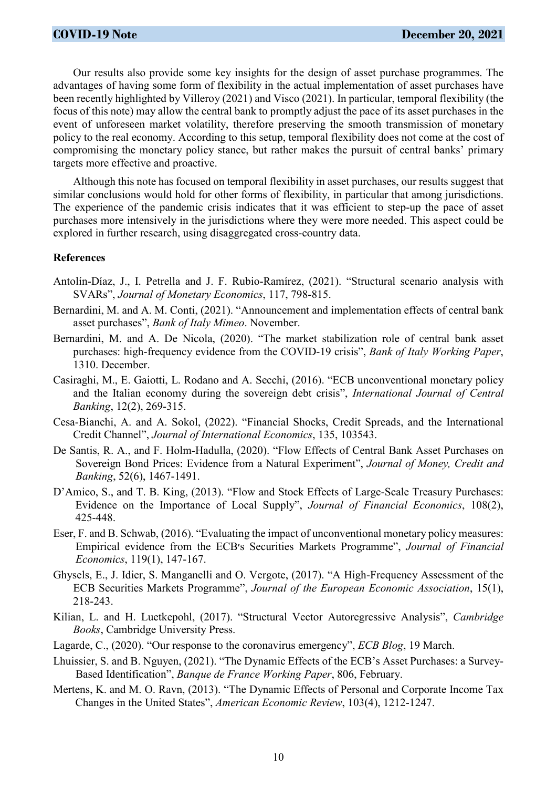Our results also provide some key insights for the design of asset purchase programmes. The advantages of having some form of flexibility in the actual implementation of asset purchases have been recently highlighted by Villeroy (2021) and Visco (2021). In particular, temporal flexibility (the focus of this note) may allow the central bank to promptly adjust the pace of its asset purchases in the event of unforeseen market volatility, therefore preserving the smooth transmission of monetary policy to the real economy. According to this setup, temporal flexibility does not come at the cost of compromising the monetary policy stance, but rather makes the pursuit of central banks' primary targets more effective and proactive.

Although this note has focused on temporal flexibility in asset purchases, our results suggest that similar conclusions would hold for other forms of flexibility, in particular that among jurisdictions. The experience of the pandemic crisis indicates that it was efficient to step-up the pace of asset purchases more intensively in the jurisdictions where they were more needed. This aspect could be explored in further research, using disaggregated cross-country data.

#### **References**

- Antolín-Díaz, J., I. Petrella and J. F. Rubio-Ramírez, (2021). "Structural scenario analysis with SVARs", *Journal of Monetary Economics*, 117, 798-815.
- Bernardini, M. and A. M. Conti, (2021). "Announcement and implementation effects of central bank asset purchases", *Bank of Italy Mimeo*. November.
- Bernardini, M. and A. De Nicola, (2020). "The market stabilization role of central bank asset purchases: high-frequency evidence from the COVID-19 crisis", *Bank of Italy Working Paper*, 1310. December.
- Casiraghi, M., E. Gaiotti, L. Rodano and A. Secchi, (2016). "ECB unconventional monetary policy and the Italian economy during the sovereign debt crisis", *International Journal of Central Banking*, 12(2), 269-315.
- Cesa-Bianchi, A. and A. Sokol, (2022). "Financial Shocks, Credit Spreads, and the International Credit Channel", *Journal of International Economics*, 135, 103543.
- De Santis, R. A., and F. Holm-Hadulla, (2020). "Flow Effects of Central Bank Asset Purchases on Sovereign Bond Prices: Evidence from a Natural Experiment", *Journal of Money, Credit and Banking*, 52(6), 1467-1491.
- D'Amico, S., and T. B. King, (2013). "Flow and Stock Effects of Large-Scale Treasury Purchases: Evidence on the Importance of Local Supply", *Journal of Financial Economics*, 108(2), 425-448.
- Eser, F. and B. Schwab, (2016). "Evaluating the impact of unconventional monetary policy measures: Empirical evidence from the ECB׳s Securities Markets Programme", *Journal of Financial Economics*, 119(1), 147-167.
- Ghysels, E., J. Idier, S. Manganelli and O. Vergote, (2017). "A High-Frequency Assessment of the ECB Securities Markets Programme", *Journal of the European Economic Association*, 15(1), 218-243.
- Kilian, L. and H. Luetkepohl, (2017). "Structural Vector Autoregressive Analysis", *Cambridge Books*, Cambridge University Press.
- Lagarde, C., (2020). "Our response to the coronavirus emergency", *ECB Blog*, 19 March.
- Lhuissier, S. and B. Nguyen, (2021). "The Dynamic Effects of the ECB's Asset Purchases: a Survey-Based Identification", *Banque de France Working Paper*, 806, February.
- Mertens, K. and M. O. Ravn, (2013). "The Dynamic Effects of Personal and Corporate Income Tax Changes in the United States", *American Economic Review*, 103(4), 1212-1247.